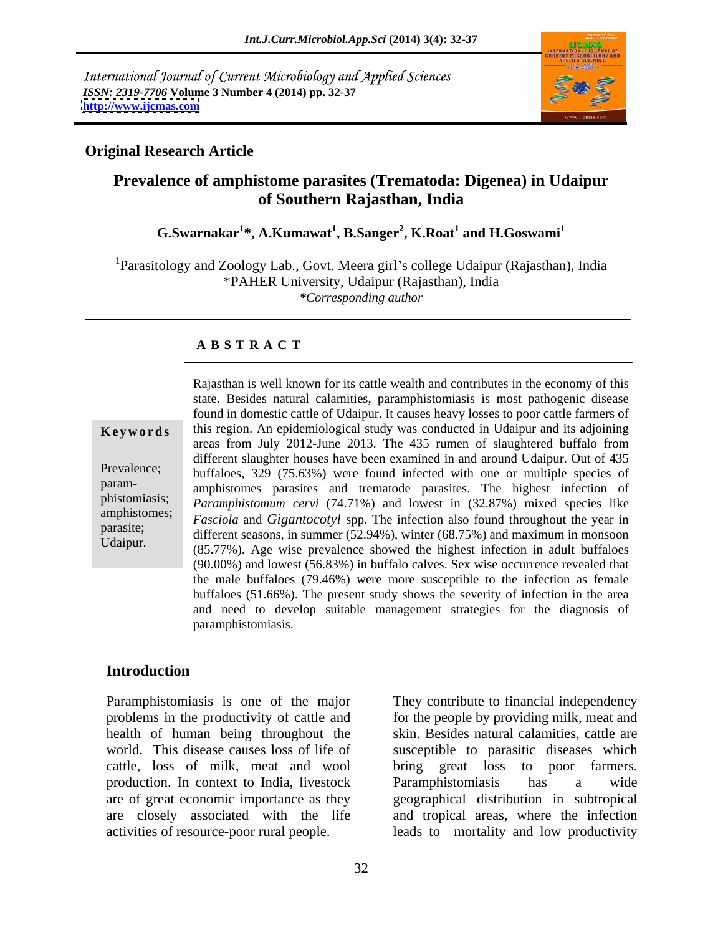International Journal of Current Microbiology and Applied Sciences *ISSN: 2319-7706* **Volume 3 Number 4 (2014) pp. 32-37 <http://www.ijcmas.com>**



#### **Original Research Article**

# **Prevalence of amphistome parasites (Trematoda: Digenea) in Udaipur of Southern Rajasthan, India**

#### **G.Swarnakar<sup>1</sup> \*, A.Kumawat<sup>1</sup> , B.Sanger<sup>2</sup> , K.Roat<sup>1</sup> and H.Goswami<sup>1</sup>**

<sup>1</sup>Parasitology and Zoology Lab., Govt. Meera girl's college Udaipur (Rajasthan), India \*PAHER University, Udaipur (Rajasthan), India *\*Corresponding author*

## **A B S T R A C T**

**Keywords** this region. An epidemiological study was conducted in Udaipur and its adjoining Prevalence;<br>buffaloes, 329 (75.63%) were found infected with one or multiple species of param-<br>amphistomes parasites and trematode parasites. The highest infection of phistomiasis; *Paramphistomum cervi* (74.71%) and lowest in (32.87%) mixed species like amphistomes; *Fasciola and Gigantocotyl* spp. The infection also found throughout the year in parasite;<br>different seasons, in summer (52.94%), winter (68.75%) and maximum in monsoon Rajasthan is well known for its cattle wealth and contributes in the economy of this<br>
state. Besides natural calamities, paramphistomiasis is most pathogenic disease<br>
found in domestic cattle of Udaipur. It causes heavy l state. Besides natural calamities, paramphistomiasis is most pathogenic disease found in domestic cattle of Udaipur. It causes heavy losses to poor cattle farmers of areas from July 2012-June 2013. The 435 rumen of slaughtered buffalo from different slaughter houses have been examined in and around Udaipur. Out of 435 (85.77%). Age wise prevalence showed the highest infection in adult buffaloes (90.00%) and lowest (56.83%) in buffalo calves. Sex wise occurrence revealed that the male buffaloes (79.46%) were more susceptible to the infection as female buffaloes (51.66%). The present study shows the severity of infection in the area and need to develop suitable management strategies for the diagnosis of paramphistomiasis.

## **Introduction**

Paramphistomiasis is one of the major They contribute to financial independency problems in the productivity of cattle and for the people by providing milk, meat and health of human being throughout the skin. Besides natural calamities, cattle are world. This disease causes loss of life of susceptible to parasitic diseases which cattle, loss of milk, meat and wool bring great loss to poor farmers. production. In context to India, livestock are of great economic importance as they geographical distribution in subtropical are closely associated with the life and tropical areas, where the infection

activities of resource-poor rural people. leads to mortality and low productivity bring great loss to poor farmers. Paramphistomiasis has a wide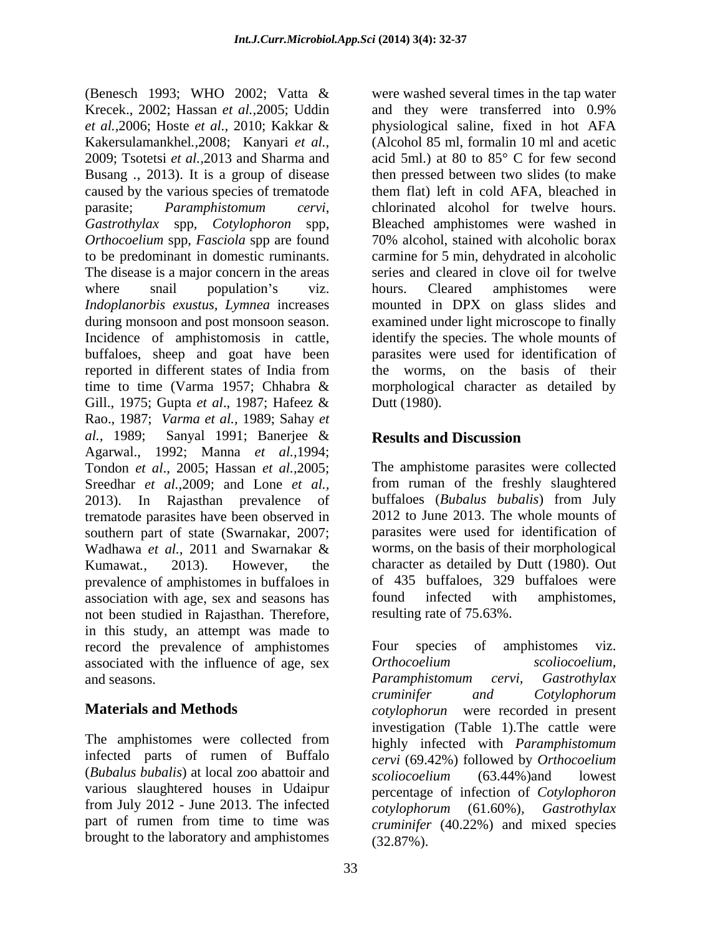(Benesch 1993; WHO 2002; Vatta & were washed several times in the tap water Krecek., 2002; Hassan *et al.,*2005; Uddin *et al.,*2006; Hoste *et al.,* 2010; Kakkar & Kakersulamankhel*.,*2008; Kanyari *et al.,* 2009; Tsotetsi *et al.,*2013 and Sharma and Busang *.,* 2013). It is a group of disease caused by the various species of trematode parasite; *Paramphistomum cervi*, *Gastrothylax* spp, *Cotylophoron* spp, Bleached amphistomes were washed in *Orthocoelium* spp, *Fasciola* spp are found 70% alcohol, stained with alcoholic borax to be predominant in domestic ruminants. The disease is a major concern in the areas where snail population's viz. hours. Cleared amphistomes were *Indoplanorbis exustus, Lymnea* increases mounted in DPX on glass slides and during monsoon and post monsoon season. Incidence of amphistomosis in cattle, identify the species. The whole mounts of buffaloes, sheep and goat have been parasites were used for identification of reported in different states of India from time to time (Varma 1957; Chhabra & morphological character as detailed by Gill., 1975; Gupta *et al*., 1987; Hafeez & Rao., 1987; *Varma et al.,* 1989; Sahay *et al.,* 1989; Sanyal 1991; Banerjee & Agarwal., 1992; Manna *et al.,*1994; Tondon *et al*., 2005; Hassan *et al.,*2005; Sreedhar *et al.,*2009; and Lone *et al.,* 2013). In Rajasthan prevalence of buffaloes (*Bubalus bubalis*) from July trematode parasites have been observed in southern part of state (Swarnakar, 2007; Wadhawa *et al.,* 2011 and Swarnakar & Kumawat*.,* 2013). However, the character as detailed by Dutt (1980). Out prevalence of amphistomes in buffaloes in of 435 buffaloes, 329 buffaloes were<br>association with age, sex and seasons has found infected with amphistomes, association with age, sex and seasons has not been studied in Rajasthan. Therefore, in this study, an attempt was made to record the prevalence of amphistomes Four species of amphistomes viz. associated with the influence of age, sex<br>and seasons. Paramphistomum cervi, Gastrothylax

The amphistomes were collected from infected parts of rumen of Buffalo (*Bubalus bubalis*) at local zoo abattoir and  $\frac{1}{\text{coliccoelium}}$  (63.44%) and lowest various slaughtered houses in Udaipur percentage of infection of *Cotylophoron*  from July 2012 - June 2013. The infected part of rumen from time to time was brought to the laboratory and amphistomes

and they were transferred into 0.9% physiological saline, fixed in hot AFA (Alcohol 85 ml, formalin 10 ml and acetic acid 5ml.) at 80 to 85° C for few second then pressed between two slides (to make them flat) left in cold AFA, bleached in chlorinated alcohol for twelve hours. carmine for 5 min, dehydrated in alcoholic series and cleared in clove oil for twelve hours. Cleared amphistomes were examined under light microscope to finally the worms, on the basis of their Dutt (1980). **Results and Discussion**

The amphistome parasites were collected from ruman of the freshly slaughtered 2012 to June 2013. The whole mounts of parasites were used for identification of worms, on the basis of their morphological of 435 buffaloes, 329 buffaloes were found infected with amphistomes, resulting rate of 75.63%.

and seasons. The parameter of the parameter of the contract of the contract of the contract of the contract of the contract of the contract of the contract of the contract of the contract of the contract of the contract of **Materials and Methods** *cotylophorun* were recorded in present Four species of amphistomes viz. *Orthocoelium scoliocoelium, Paramphistomum cervi, Gastrothylax cruminifer and Cotylophorum* investigation (Table 1).The cattle were highly infected with *Paramphistomum cervi* (69.42%) followed by *Orthocoelium scoliocoelium* (63.44%)and lowest *cotylophorum* (61.60%)*, Gastrothylax cruminifer* (40.22%) and mixed species (32.87%).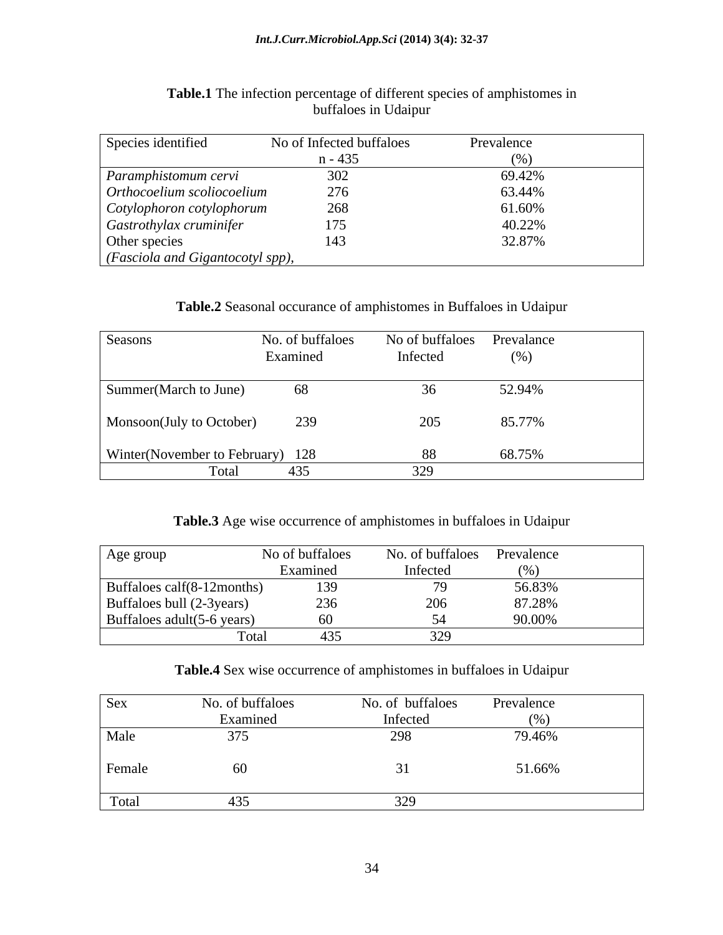| Species identified                       | No of Infected buffaloes | Prevalence      |
|------------------------------------------|--------------------------|-----------------|
|                                          | $n - 435$                |                 |
| Paramphistomum cervi                     |                          | 69.42%          |
| $\int$ Orthocoelium scoliocoelium        |                          | 63.44%          |
| Cotylophoron cotylophorum                |                          | 61.60%          |
| Gastrothylax cruminifer                  |                          |                 |
| Other species                            |                          | $32.87^{\circ}$ |
| $\big $ (Fasciola and Gigantocotyl spp), |                          |                 |

#### **Table.1** The infection percentage of different species of amphistomes in buffaloes in Udaipur

#### **Table.2** Seasonal occurance of amphistomes in Buffaloes in Udaipur

| Seasons                          | No. of buffaloes<br>Examined | No of buffaloes Prevalance<br>Infected | (% )   |
|----------------------------------|------------------------------|----------------------------------------|--------|
| Summer(March to June)            |                              |                                        | 52.94% |
| Monsoon(July to October)         | 239                          |                                        | 85.77% |
| Winter(November to February) 128 |                              |                                        | 68.75% |
| Total                            |                              |                                        |        |

#### **Table.3** Age wise occurrence of amphistomes in buffaloes in Udaipur

| Age group                  | No of buffaloes | No. of buffaloes Prevalence |         |
|----------------------------|-----------------|-----------------------------|---------|
|                            | Examined        | metre                       |         |
| Buffaloes calf(8-12months) |                 |                             | 56.83%  |
| Buffaloes bull (2-3years)  |                 |                             | 87.280% |
| Buffaloes adult(5-6 years) |                 |                             |         |
| 10.041                     | 433<br>$ -$     |                             |         |

#### **Table.4** Sex wise occurrence of amphistomes in buffaloes in Udaipur

| Sex    | No. of buffaloes | No. of buffaloes | Prevalence         |
|--------|------------------|------------------|--------------------|
|        | Examined         | Infected         |                    |
| Male   |                  |                  | 70.460<br>$9.40\%$ |
| Female |                  |                  | 51.66%             |
| Total  |                  |                  |                    |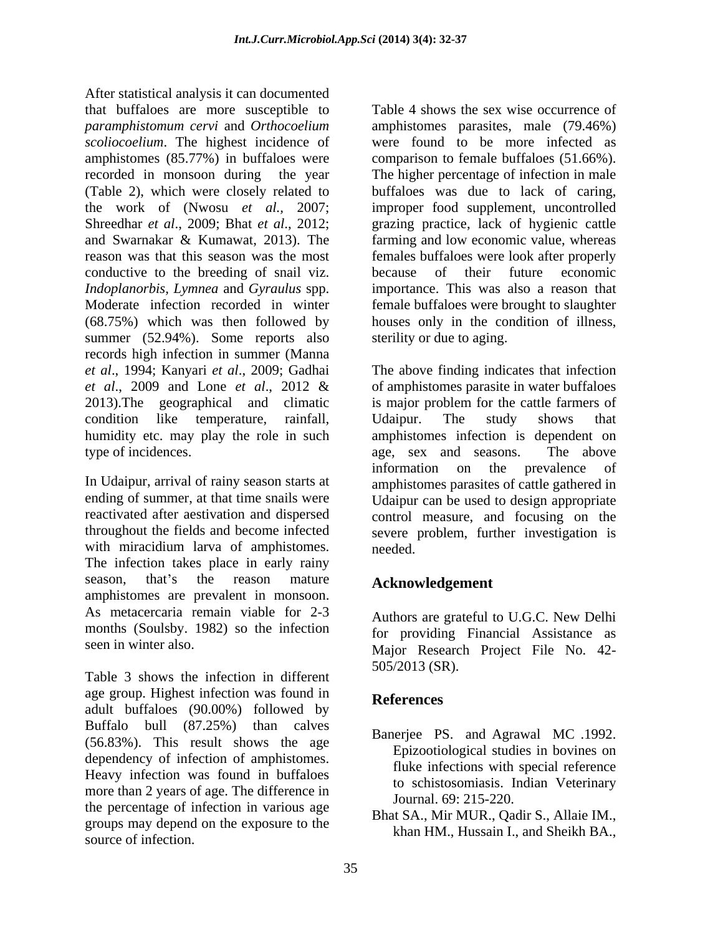After statistical analysis it can documented that buffaloes are more susceptible to *paramphistomum cervi* and *Orthocoelium*  amphistomes parasites, male (79.46%) *scoliocoelium*. The highest incidence of were found to be more infected as amphistomes (85.77%) in buffaloes were recorded in monsoon during the year The higher percentage of infection in male (Table 2), which were closely related to buffaloes was due to lack of caring, the work of (Nwosu *et al.,* 2007; improper food supplement, uncontrolled Shreedhar *et al*., 2009; Bhat *et al*., 2012; grazing practice, lack of hygienic cattle and Swarnakar & Kumawat, 2013). The farming and low economic value, whereas reason was that this season was the most females buffaloes were look after properly conductive to the breeding of snail viz. *Indoplanorbis, Lymnea* and *Gyraulus* spp. Moderate infection recorded in winter female buffaloes were brought to slaughter (68.75%) which was then followed by houses only in the condition of illness, summer (52.94%). Some reports also records high infection in summer (Manna *et al*., 1994; Kanyari *et al*., 2009; Gadhai The above finding indicates that infection *et al*., 2009 and Lone *et al*., 2012 & 2013).The geographical and climatic is major problem for the cattle farmers of condition like temperature, rainfall, humidity etc. may play the role in such amphistomes infection is dependent on type of incidences. age, sex and seasons. The above

with miracidium larva of amphistomes. needed. The infection takes place in early rainy season, that's the reason mature **Acknowledgement** amphistomes are prevalent in monsoon. As metacercaria remain viable for 2-3 months (Soulsby. 1982) so the infection

Table 3 shows the infection in different age group. Highest infection was found in References adult buffaloes (90.00%) followed by Buffalo bull  $(87.25\%)$  than calves  $R_{\text{D},\text{c}}$  and  $\Delta_{\text{c}}$  and  $M_{\text{C}}$  1002 (56.83%). This result shows the age dependency of infection of amphistomes. Heavy infection was found in buffaloes more than 2 years of age. The difference in the percentage of infection in various age groups may depend on the exposure to the source of infection.

Table 4 shows the sex wise occurrence of comparison to female buffaloes (51.66%). because of their future economic importance. This was also a reason that sterility or due to aging.

In Udaipur, arrival of rainy season starts at amphistomes parasites of cattle gathered in ending of summer, at that time snails were Udaipur can be used to design appropriate reactivated after aestivation and dispersed control measure, and focusing on the throughout the fields and become infected severe problem, further investigation is of amphistomes parasite in water buffaloes Udaipur. The study shows that age, sex and seasons. The above information on the prevalence of needed.

# **Acknowledgement**

seen in winter also.<br>
Major Research Project File No. 42-Authors are grateful to U.G.C. New Delhi for providing Financial Assistance as 505/2013 (SR).

## **References**

- Banerjee PS. and Agrawal MC .1992. Epizootiological studies in bovines on fluke infections with special reference to schistosomiasis. Indian Veterinary Journal. 69: 215-220.
- Bhat SA., Mir MUR., Qadir S., Allaie IM., khan HM., Hussain I., and Sheikh BA.,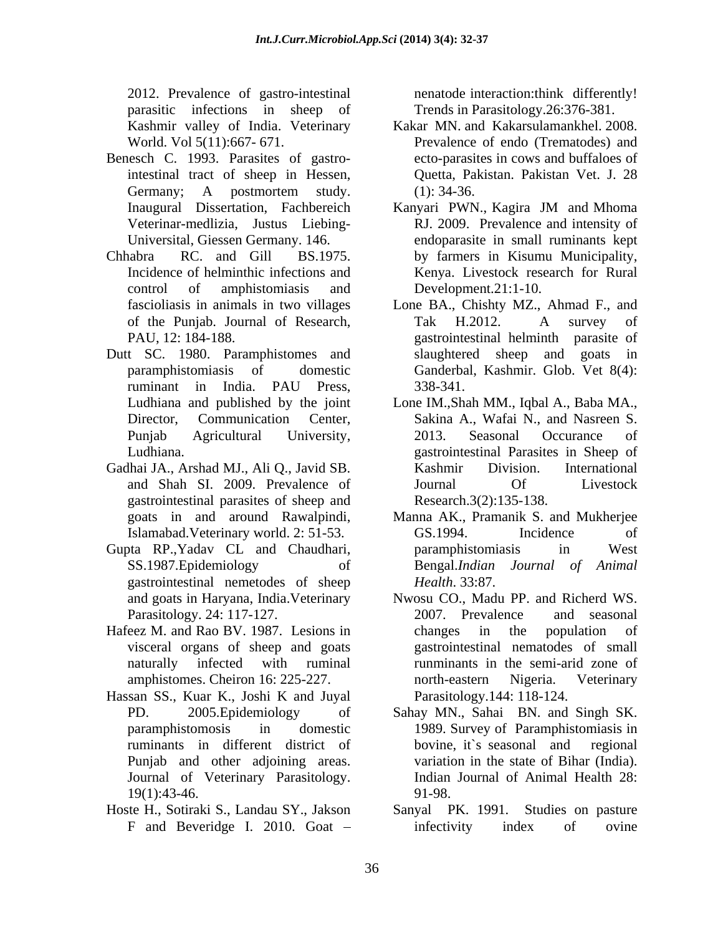2012. Prevalence of gastro-intestinal parasitic infections in sheep of

- Benesch C. 1993. Parasites of gastrointestinal tract of sheep in Hessen,
- 
- Dutt SC. 1980. Paramphistomes and
- Gadhai JA., Arshad MJ., Ali Q., Javid SB. gastrointestinal parasites of sheep and
- Gupta RP.,Yadav CL and Chaudhari, gastrointestinal nemetodes of sheep *Health.* 33:87.
- Hafeez M. and Rao BV. 1987. Lesions in changes in the population of visceral organs of sheep and goats
- Hassan SS., Kuar K., Joshi K and Juyal Journal of Veterinary Parasitology.
- 

nenatode interaction:think differently! Trends in Parasitology.26:376-381.

- Kashmir valley of India. Veterinary Kakar MN. and Kakarsulamankhel. 2008. World. Vol 5(11):667- 671. Prevalence of endo (Trematodes) and Germany; A postmortem study. (1): 34-36. ecto-parasites in cows and buffaloes of Quetta, Pakistan. Pakistan Vet. J. 28 (1): 34-36.
- Inaugural Dissertation, Fachbereich Kanyari PWN., Kagira JM and Mhoma Veterinar-medlizia, Justus Liebing- RJ. 2009. Prevalence and intensity of Universital, Giessen Germany. 146. endoparasite in small ruminants kept Chhabra RC. and Gill BS.1975. by farmers in Kisumu Municipality, Incidence of helminthic infections and Kenya. Livestock research for Rural control of amphistomiasis and Kanyari PWN., Kagira JM and Mhoma Development.21:1-10.
	- fascioliasis in animals in two villages Lone BA., Chishty MZ., Ahmad F., and of the Punjab. Journal of Research, PAU, 12: 184-188. gastrointestinal helminth parasite of paramphistomiasis of domestic Ganderbal, Kashmir. Glob. Vet 8(4): ruminant in India. PAU Press, Tak H.2012. A survey of slaughtered sheep and goats in 338-341.
	- Ludhiana and published by the joint Lone IM.,Shah MM., Iqbal A., Baba MA., Director, Communication Center, Sakina A., Wafai N., and Nasreen S. Punjab Agricultural University, 2013. Seasonal Occurance of Ludhiana. gastrointestinal Parasites in Sheep of and Shah SI. 2009. Prevalence of 2013. Seasonal Occurance of Kashmir Division. International Journal Of Livestock Research.3(2):135-138.
	- goats in and around Rawalpindi, Manna AK., Pramanik S. and Mukherjee Islamabad.Veterinary world. 2: 51-53. SS.1987.Epidemiology of Bengal.*Indian Journal of Animal* GS.1994. Incidence of paramphistomiasis in West *Health*. 33:87.
	- and goats in Haryana, India.Veterinary Nwosu CO., Madu PP. and Richerd WS. Parasitology. 24: 117-127. 2007. Prevalence and seasonal naturally infected with ruminal runminants in the semi-arid zone of amphistomes. Cheiron 16: 225-227. 2007. Prevalence and seasonal changes in the population of gastrointestinal nematodes of small north-eastern Nigeria. Veterinary Parasitology.144: 118-124.
	- PD. 2005.Epidemiology of Sahay MN., Sahai BN. and Singh SK. paramphistomosis in domestic 1989. Survey of Paramphistomiasis in ruminants in different district of Punjab and other adjoining areas. variation in the state of Bihar (India). 19(1):43-46. bovine, it`s seasonal and regional Indian Journal of Animal Health 28: 91-98.
- Hoste H., Sotiraki S., Landau SY., Jakson Sanyal PK. 1991. Studies on pasture F and Beveridge I. 2010. Goat – infectivity index of ovine infectivity index of ovine